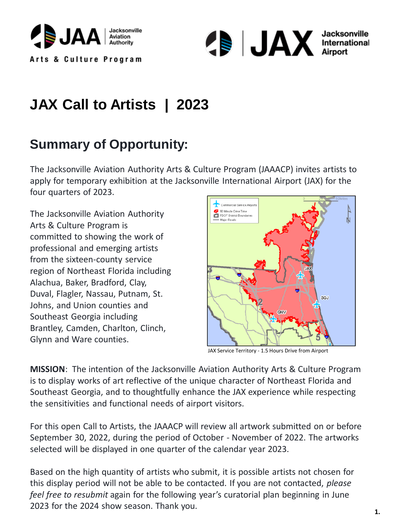



## **Summary of Opportunity:**

The Jacksonville Aviation Authority Arts & Culture Program (JAAACP) invites artists to apply for temporary exhibition at the Jacksonville International Airport (JAX) for the four quarters of 2023.

The Jacksonville Aviation Authority Arts & Culture Program is committed to showing the work of professional and emerging artists from the sixteen-county service region of Northeast Florida including Alachua, Baker, Bradford, Clay, Duval, Flagler, Nassau, Putnam, St. Johns, and Union counties and Southeast Georgia including Brantley, Camden, Charlton, Clinch, Glynn and Ware counties.



JAX Service Territory - 1.5 Hours Drive from Airport

**MISSION**: The intention of the Jacksonville Aviation Authority Arts & Culture Program is to display works of art reflective of the unique character of Northeast Florida and Southeast Georgia, and to thoughtfully enhance the JAX experience while respecting the sensitivities and functional needs of airport visitors.

For this open Call to Artists, the JAAACP will review all artwork submitted on or before September 30, 2022, during the period of October - November of 2022. The artworks selected will be displayed in one quarter of the calendar year 2023.

Based on the high quantity of artists who submit, it is possible artists not chosen for this display period will not be able to be contacted. If you are not contacted, *please feel free to resubmit* again for the following year's curatorial plan beginning in June 2023 for the 2024 show season. Thank you.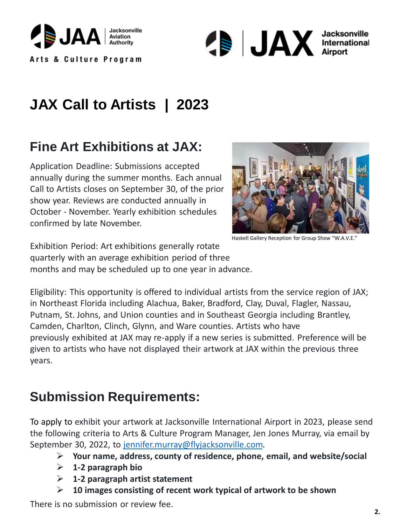



## **Fine Art Exhibitions at JAX:**

Application Deadline: Submissions accepted annually during the summer months. Each annual Call to Artists closes on September 30, of the prior show year. Reviews are conducted annually in October - November. Yearly exhibition schedules confirmed by late November.



Haskell Gallery Reception for Group Show "W.A.V.E."

quarterly with an average exhibition period of three months and may be scheduled up to one year in advance. Exhibition Period: Art exhibitions generally rotate

Eligibility: This opportunity is offered to individual artists from the service region of JAX; in Northeast Florida including Alachua, Baker, Bradford, Clay, Duval, Flagler, Nassau, Putnam, St. Johns, and Union counties and in Southeast Georgia including Brantley, Camden, Charlton, Clinch, Glynn, and Ware counties. Artists who have previously exhibited at JAX may re-apply if a new series is submitted. Preference will be given to artists who have not displayed their artwork at JAX within the previous three years.

## **Submission Requirements:**

To apply to exhibit your artwork at Jacksonville International Airport in 2023, please send the following criteria to Arts & Culture Program Manager, Jen Jones Murray, via email by September 30, 2022, to [jennifer.murray@flyjacksonville.com.](mailto:jennifer.murray@flyjacksonville.com?subject=JAX%20Call%20to%20Artist%20Submission)

- ➢ **Your name, address, county of residence, phone, email, and website/social**
- ➢ **1-2 paragraph bio**
- ➢ **1-2 paragraph artist statement**
- ➢ **10 images consisting of recent work typical of artwork to be shown**

There is no submission or review fee.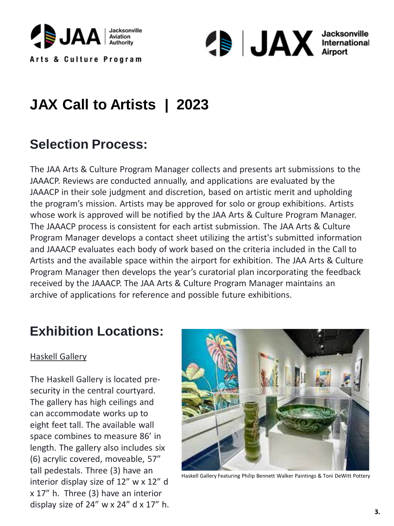



#### **Selection Process:**

The JAA Arts & Culture Program Manager collects and presents art submissions to the JAAACP. Reviews are conducted annually, and applications are evaluated by the JAAACP in their sole judgment and discretion, based on artistic merit and upholding the program's mission. Artists may be approved for solo or group exhibitions. Artists whose work is approved will be notified by the JAA Arts & Culture Program Manager. The JAAACP process is consistent for each artist submission. The JAA Arts & Culture Program Manager develops a contact sheet utilizing the artist's submitted information and JAAACP evaluates each body of work based on the criteria included in the Call to Artists and the available space within the airport for exhibition. The JAA Arts & Culture Program Manager then develops the year's curatorial plan incorporating the feedback received by the JAAACP. The JAA Arts & Culture Program Manager maintains an archive of applications for reference and possible future exhibitions.

#### **Exhibition Locations:**

#### Haskell Gallery

The Haskell Gallery is located presecurity in the central courtyard. The gallery has high ceilings and can accommodate works up to eight feet tall. The available wall space combines to measure 86' in length. The gallery also includes six (6) acrylic covered, moveable, 57" tall pedestals. Three (3) have an interior display size of 12" w x 12" d x 17" h. Three (3) have an interior display size of  $24''$  w x  $24''$  d x  $17''$  h.



Haskell Gallery Featuring Philip Bennett Walker Paintings & Toni DeWitt Pottery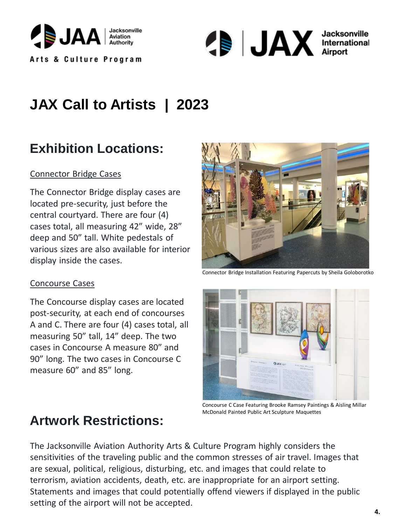



## **Exhibition Locations:**

#### Connector Bridge Cases

The Connector Bridge display cases are located pre-security, just before the central courtyard. There are four (4) cases total, all measuring 42" wide, 28" deep and 50" tall. White pedestals of various sizes are also available for interior display inside the cases.

#### Concourse Cases

The Concourse display cases are located post-security, at each end of concourses A and C. There are four (4) cases total, all measuring 50" tall, 14" deep. The two cases in Concourse A measure 80" and 90" long. The two cases in Concourse C measure 60" and 85" long.



Connector Bridge Installation Featuring Papercuts by Sheila Goloborotko



Concourse C Case Featuring Brooke Ramsey Paintings & Aisling Millar McDonald Painted Public Art Sculpture Maquettes

#### **Artwork Restrictions:**

The Jacksonville Aviation Authority Arts & Culture Program highly considers the sensitivities of the traveling public and the common stresses of air travel. Images that are sexual, political, religious, disturbing, etc. and images that could relate to terrorism, aviation accidents, death, etc. are inappropriate for an airport setting. Statements and images that could potentially offend viewers if displayed in the public setting of the airport will not be accepted.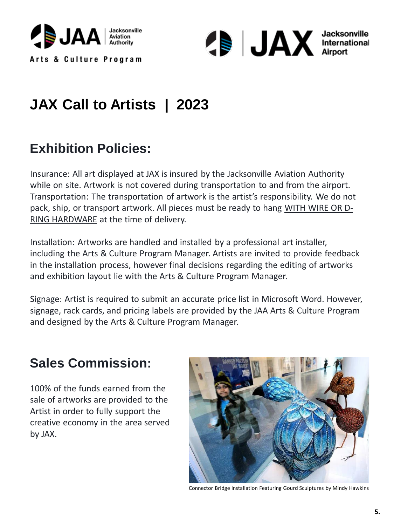



## **Exhibition Policies:**

Insurance: All art displayed at JAX is insured by the Jacksonville Aviation Authority while on site. Artwork is not covered during transportation to and from the airport. Transportation: The transportation of artwork is the artist's responsibility. We do not pack, ship, or transport artwork. All pieces must be ready to hang WITH WIRE OR D-RING HARDWARE at the time of delivery.

Installation: Artworks are handled and installed by a professional art installer, including the Arts & Culture Program Manager. Artists are invited to provide feedback in the installation process, however final decisions regarding the editing of artworks and exhibition layout lie with the Arts & Culture Program Manager.

Signage: Artist is required to submit an accurate price list in Microsoft Word. However, signage, rack cards, and pricing labels are provided by the JAA Arts & Culture Program and designed by the Arts & Culture Program Manager.

### **Sales Commission:**

100% of the funds earned from the sale of artworks are provided to the Artist in order to fully support the creative economy in the area served by JAX.



Connector Bridge Installation Featuring Gourd Sculptures by Mindy Hawkins